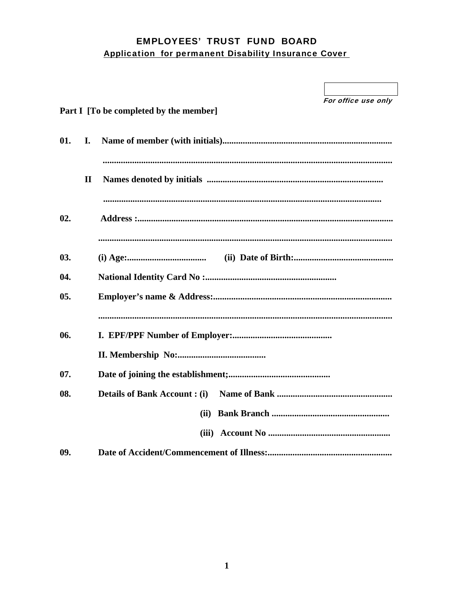## **EMPLOYEES' TRUST FUND BOARD Application for permanent Disability Insurance Cover**

|        |              |                                        | For office use only |
|--------|--------------|----------------------------------------|---------------------|
|        |              | Part I [To be completed by the member] |                     |
| 01.    | I.           |                                        |                     |
|        | $\mathbf{I}$ |                                        |                     |
| 02.    |              |                                        |                     |
| 03.    |              |                                        |                     |
| 04.    |              |                                        |                     |
| $05$ . |              |                                        |                     |
| 06.    |              |                                        |                     |
|        |              |                                        |                     |
| 07.    |              |                                        |                     |
| 08.    |              |                                        |                     |
|        |              | (ii)                                   |                     |
|        |              |                                        |                     |
| 09.    |              |                                        |                     |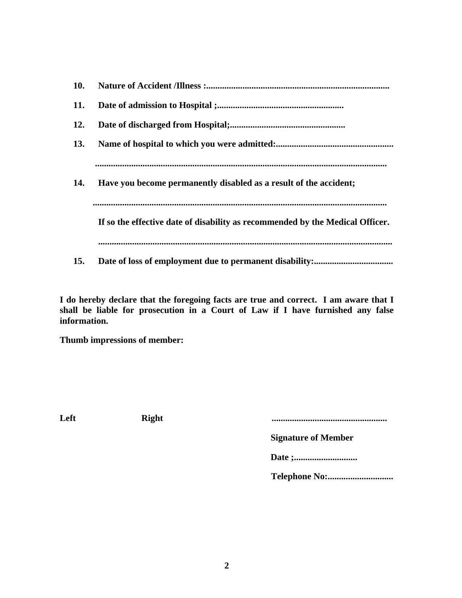| 10. |                                                                               |
|-----|-------------------------------------------------------------------------------|
| 11. |                                                                               |
| 12. |                                                                               |
| 13. |                                                                               |
|     |                                                                               |
| 14. | Have you become permanently disabled as a result of the accident;             |
|     |                                                                               |
|     | If so the effective date of disability as recommended by the Medical Officer. |
|     |                                                                               |
| 15. |                                                                               |

**I do hereby declare that the foregoing facts are true and correct. I am aware that I shall be liable for prosecution in a Court of Law if I have furnished any false information.** 

**Thumb impressions of member:** 

**Left Right ...................................................** 

 **Signature of Member** 

 **Date ;............................** 

 **Telephone No:.............................**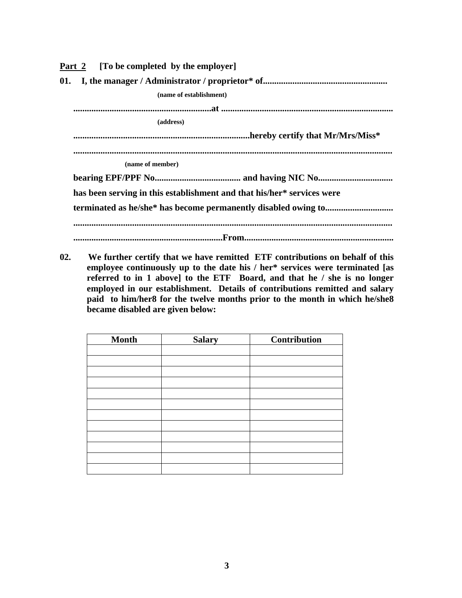| <u>Part 2</u> [To be completed by the employer]                        |  |  |  |  |
|------------------------------------------------------------------------|--|--|--|--|
| 01.                                                                    |  |  |  |  |
| (name of establishment)                                                |  |  |  |  |
|                                                                        |  |  |  |  |
| (address)                                                              |  |  |  |  |
|                                                                        |  |  |  |  |
|                                                                        |  |  |  |  |
| (name of member)                                                       |  |  |  |  |
|                                                                        |  |  |  |  |
| has been serving in this establishment and that his/her* services were |  |  |  |  |
|                                                                        |  |  |  |  |
|                                                                        |  |  |  |  |
|                                                                        |  |  |  |  |

**02. We further certify that we have remitted ETF contributions on behalf of this employee continuously up to the date his / her\* services were terminated [as referred to in 1 above] to the ETF Board, and that he / she is no longer employed in our establishment. Details of contributions remitted and salary paid to him/her8 for the twelve months prior to the month in which he/she8 became disabled are given below:** 

| <b>Month</b> | <b>Salary</b> | Contribution |
|--------------|---------------|--------------|
|              |               |              |
|              |               |              |
|              |               |              |
|              |               |              |
|              |               |              |
|              |               |              |
|              |               |              |
|              |               |              |
|              |               |              |
|              |               |              |
|              |               |              |
|              |               |              |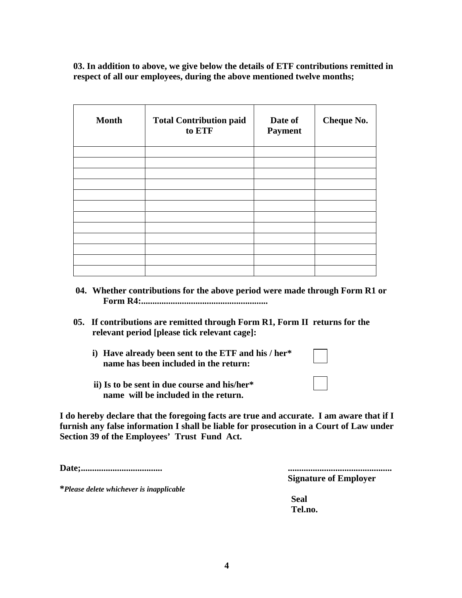**03. In addition to above, we give below the details of ETF contributions remitted in respect of all our employees, during the above mentioned twelve months;** 

| <b>Month</b> | <b>Total Contribution paid</b><br>to ETF | Date of<br><b>Payment</b> | <b>Cheque No.</b> |
|--------------|------------------------------------------|---------------------------|-------------------|
|              |                                          |                           |                   |
|              |                                          |                           |                   |
|              |                                          |                           |                   |
|              |                                          |                           |                   |
|              |                                          |                           |                   |
|              |                                          |                           |                   |
|              |                                          |                           |                   |
|              |                                          |                           |                   |
|              |                                          |                           |                   |
|              |                                          |                           |                   |
|              |                                          |                           |                   |
|              |                                          |                           |                   |

- **04. Whether contributions for the above period were made through Form R1 or Form R4:........................................................**
- **05. If contributions are remitted through Form R1, Form II returns for the relevant period [please tick relevant cage]:** 
	- **i) Have already been sent to the ETF and his / her\* name has been included in the return:**
	- **ii) Is to be sent in due course and his/her\* name will be included in the return.**

**I do hereby declare that the foregoing facts are true and accurate. I am aware that if I furnish any false information I shall be liable for prosecution in a Court of Law under Section 39 of the Employees' Trust Fund Act.** 

**Date;.................................... ..............................................** 

**\****Please delete whichever is inapplicable*

 **Signature of Employer** 

**Seal Tel.no.**